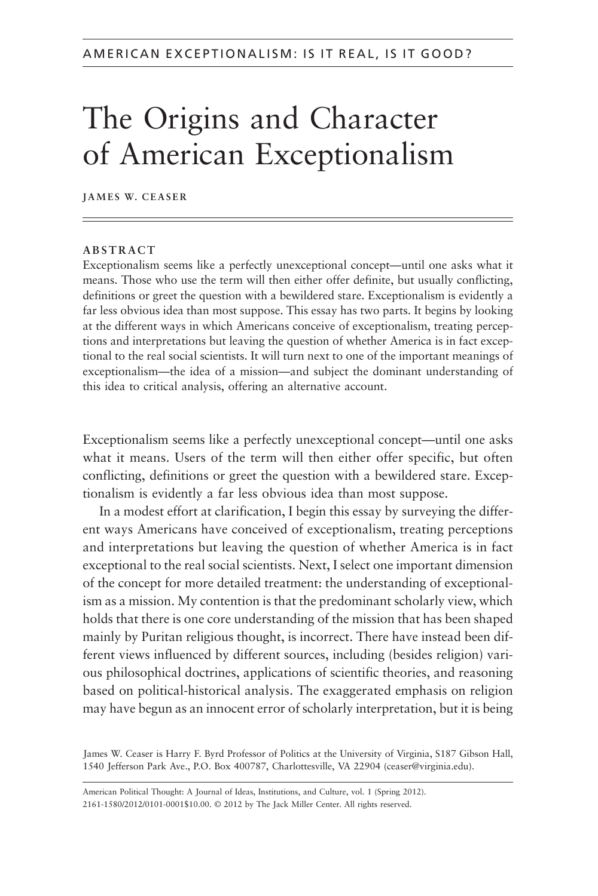# The Origins and Character of American Exceptionalism

JAMES W. CEASER

ABSTRACT Exceptionalism seems like a perfectly unexceptional concept—until one asks what it means. Those who use the term will then either offer definite, but usually conflicting, definitions or greet the question with a bewildered stare. Exceptionalism is evidently a far less obvious idea than most suppose. This essay has two parts. It begins by looking at the different ways in which Americans conceive of exceptionalism, treating perceptions and interpretations but leaving the question of whether America is in fact exceptional to the real social scientists. It will turn next to one of the important meanings of exceptionalism—the idea of a mission—and subject the dominant understanding of this idea to critical analysis, offering an alternative account.

Exceptionalism seems like a perfectly unexceptional concept—until one asks what it means. Users of the term will then either offer specific, but often conflicting, definitions or greet the question with a bewildered stare. Exceptionalism is evidently a far less obvious idea than most suppose.

In a modest effort at clarification, I begin this essay by surveying the different ways Americans have conceived of exceptionalism, treating perceptions and interpretations but leaving the question of whether America is in fact exceptional to the real social scientists. Next, I select one important dimension of the concept for more detailed treatment: the understanding of exceptionalism as a mission. My contention is that the predominant scholarly view, which holds that there is one core understanding of the mission that has been shaped mainly by Puritan religious thought, is incorrect. There have instead been different views influenced by different sources, including (besides religion) various philosophical doctrines, applications of scientific theories, and reasoning based on political-historical analysis. The exaggerated emphasis on religion may have begun as an innocent error of scholarly interpretation, but it is being

James W. Ceaser is Harry F. Byrd Professor of Politics at the University of Virginia, S187 Gibson Hall, 1540 Jefferson Park Ave., P.O. Box 400787, Charlottesville, VA 22904 (ceaser@virginia.edu).

American Political Thought: A Journal of Ideas, Institutions, and Culture, vol. 1 (Spring 2012). 2161-1580/2012/0101-0001\$10.00. © 2012 by The Jack Miller Center. All rights reserved.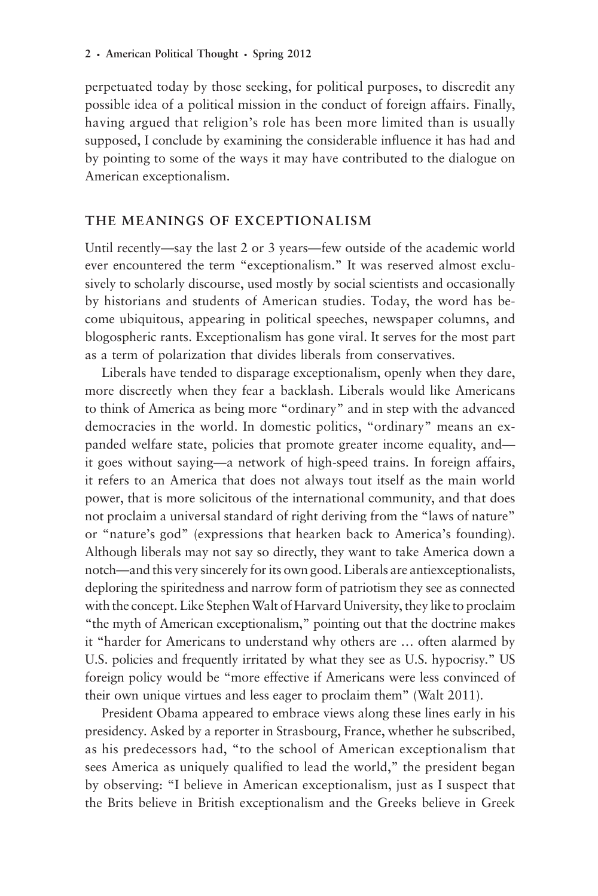perpetuated today by those seeking, for political purposes, to discredit any possible idea of a political mission in the conduct of foreign affairs. Finally, having argued that religion's role has been more limited than is usually supposed, I conclude by examining the considerable influence it has had and by pointing to some of the ways it may have contributed to the dialogue on American exceptionalism.

#### THE MEANINGS OF EXCEPTIONALISM THE MEANINGS OF EXCEPTION OF EXCEPTION

Until recently—say the last 2 or 3 years—few outside of the academic world ever encountered the term "exceptionalism." It was reserved almost exclusively to scholarly discourse, used mostly by social scientists and occasionally by historians and students of American studies. Today, the word has become ubiquitous, appearing in political speeches, newspaper columns, and blogospheric rants. Exceptionalism has gone viral. It serves for the most part as a term of polarization that divides liberals from conservatives.

Liberals have tended to disparage exceptionalism, openly when they dare, more discreetly when they fear a backlash. Liberals would like Americans to think of America as being more "ordinary" and in step with the advanced democracies in the world. In domestic politics, "ordinary" means an expanded welfare state, policies that promote greater income equality, and it goes without saying—a network of high-speed trains. In foreign affairs, it refers to an America that does not always tout itself as the main world power, that is more solicitous of the international community, and that does not proclaim a universal standard of right deriving from the "laws of nature" or "nature's god" (expressions that hearken back to America's founding). Although liberals may not say so directly, they want to take America down a notch—and this very sincerely for its own good. Liberals are antiexceptionalists, deploring the spiritedness and narrow form of patriotism they see as connected with the concept. Like Stephen Walt of Harvard University, they like to proclaim "the myth of American exceptionalism," pointing out that the doctrine makes it "harder for Americans to understand why others are … often alarmed by U.S. policies and frequently irritated by what they see as U.S. hypocrisy." US foreign policy would be "more effective if Americans were less convinced of their own unique virtues and less eager to proclaim them" (Walt 2011).

President Obama appeared to embrace views along these lines early in his presidency. Asked by a reporter in Strasbourg, France, whether he subscribed, as his predecessors had, "to the school of American exceptionalism that sees America as uniquely qualified to lead the world," the president began by observing: "I believe in American exceptionalism, just as I suspect that the Brits believe in British exceptionalism and the Greeks believe in Greek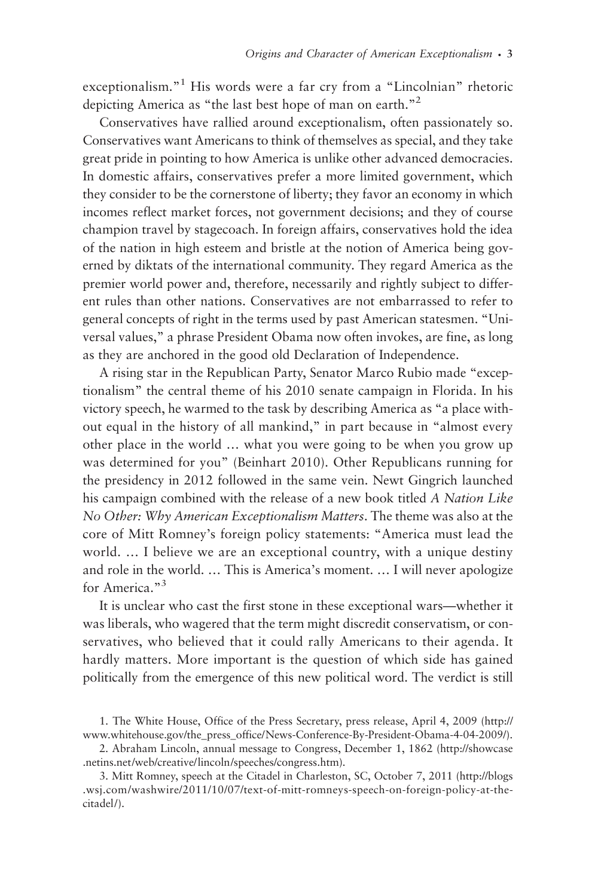exceptionalism."<sup>1</sup> His words were a far cry from a "Lincolnian" rhetoric depicting America as "the last best hope of man on earth."<sup>2</sup>

Conservatives have rallied around exceptionalism, often passionately so. Conservatives want Americans to think of themselves as special, and they take great pride in pointing to how America is unlike other advanced democracies. In domestic affairs, conservatives prefer a more limited government, which they consider to be the cornerstone of liberty; they favor an economy in which incomes reflect market forces, not government decisions; and they of course champion travel by stagecoach. In foreign affairs, conservatives hold the idea of the nation in high esteem and bristle at the notion of America being governed by diktats of the international community. They regard America as the premier world power and, therefore, necessarily and rightly subject to different rules than other nations. Conservatives are not embarrassed to refer to general concepts of right in the terms used by past American statesmen. "Universal values," a phrase President Obama now often invokes, are fine, as long as they are anchored in the good old Declaration of Independence.

A rising star in the Republican Party, Senator Marco Rubio made "exceptionalism" the central theme of his 2010 senate campaign in Florida. In his victory speech, he warmed to the task by describing America as "a place without equal in the history of all mankind," in part because in "almost every other place in the world … what you were going to be when you grow up was determined for you" (Beinhart 2010). Other Republicans running for the presidency in 2012 followed in the same vein. Newt Gingrich launched his campaign combined with the release of a new book titled A Nation Like No Other: Why American Exceptionalism Matters. The theme was also at the core of Mitt Romney's foreign policy statements: "America must lead the world. … I believe we are an exceptional country, with a unique destiny and role in the world. … This is America's moment. … I will never apologize for America."<sup>3</sup>

It is unclear who cast the first stone in these exceptional wars—whether it was liberals, who wagered that the term might discredit conservatism, or conservatives, who believed that it could rally Americans to their agenda. It hardly matters. More important is the question of which side has gained politically from the emergence of this new political word. The verdict is still

2. Abraham Lincoln, annual message to Congress, December 1, 1862 (http://showcase .netins.net/web/creative/lincoln/speeches/congress.htm).

3. Mitt Romney, speech at the Citadel in Charleston, SC, October 7, 2011 (http://blogs .wsj.com/washwire/2011/10/07/text-of-mitt-romneys-speech-on-foreign-policy-at-thecitadel/).

<sup>1.</sup> The White House, Office of the Press Secretary, press release, April 4, 2009 (http:// www.whitehouse.gov/the\_press\_office/News-Conference-By-President-Obama-4-04-2009/).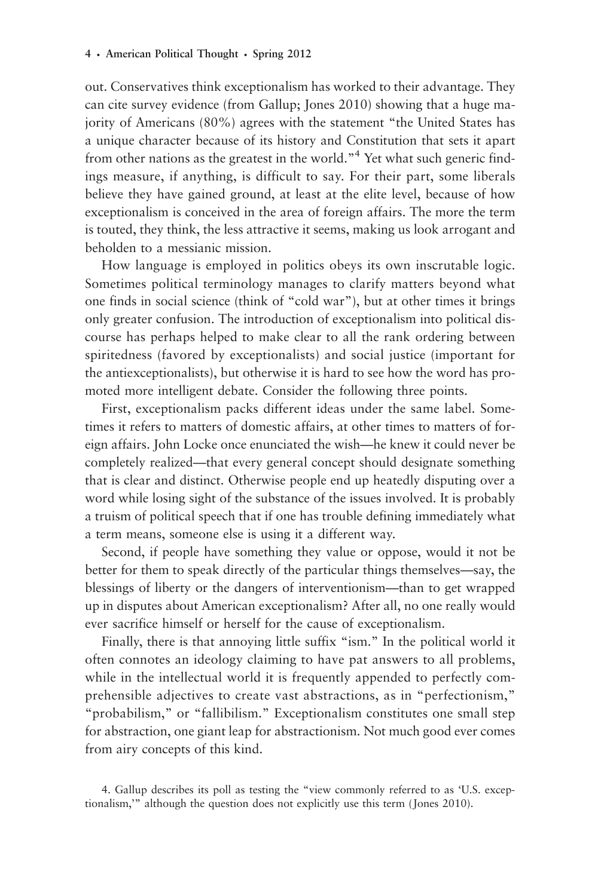out. Conservatives think exceptionalism has worked to their advantage. They can cite survey evidence (from Gallup; Jones 2010) showing that a huge majority of Americans (80%) agrees with the statement "the United States has a unique character because of its history and Constitution that sets it apart from other nations as the greatest in the world."<sup>4</sup> Yet what such generic findings measure, if anything, is difficult to say. For their part, some liberals believe they have gained ground, at least at the elite level, because of how exceptionalism is conceived in the area of foreign affairs. The more the term is touted, they think, the less attractive it seems, making us look arrogant and beholden to a messianic mission.

How language is employed in politics obeys its own inscrutable logic. Sometimes political terminology manages to clarify matters beyond what one finds in social science (think of "cold war"), but at other times it brings only greater confusion. The introduction of exceptionalism into political discourse has perhaps helped to make clear to all the rank ordering between spiritedness (favored by exceptionalists) and social justice (important for the antiexceptionalists), but otherwise it is hard to see how the word has promoted more intelligent debate. Consider the following three points.

First, exceptionalism packs different ideas under the same label. Sometimes it refers to matters of domestic affairs, at other times to matters of foreign affairs. John Locke once enunciated the wish—he knew it could never be completely realized—that every general concept should designate something that is clear and distinct. Otherwise people end up heatedly disputing over a word while losing sight of the substance of the issues involved. It is probably a truism of political speech that if one has trouble defining immediately what a term means, someone else is using it a different way.

Second, if people have something they value or oppose, would it not be better for them to speak directly of the particular things themselves—say, the blessings of liberty or the dangers of interventionism—than to get wrapped up in disputes about American exceptionalism? After all, no one really would ever sacrifice himself or herself for the cause of exceptionalism.

Finally, there is that annoying little suffix "ism." In the political world it often connotes an ideology claiming to have pat answers to all problems, while in the intellectual world it is frequently appended to perfectly comprehensible adjectives to create vast abstractions, as in "perfectionism," "probabilism," or "fallibilism." Exceptionalism constitutes one small step for abstraction, one giant leap for abstractionism. Not much good ever comes from airy concepts of this kind.

4. Gallup describes its poll as testing the "view commonly referred to as 'U.S. exceptionalism,'" although the question does not explicitly use this term (Jones 2010).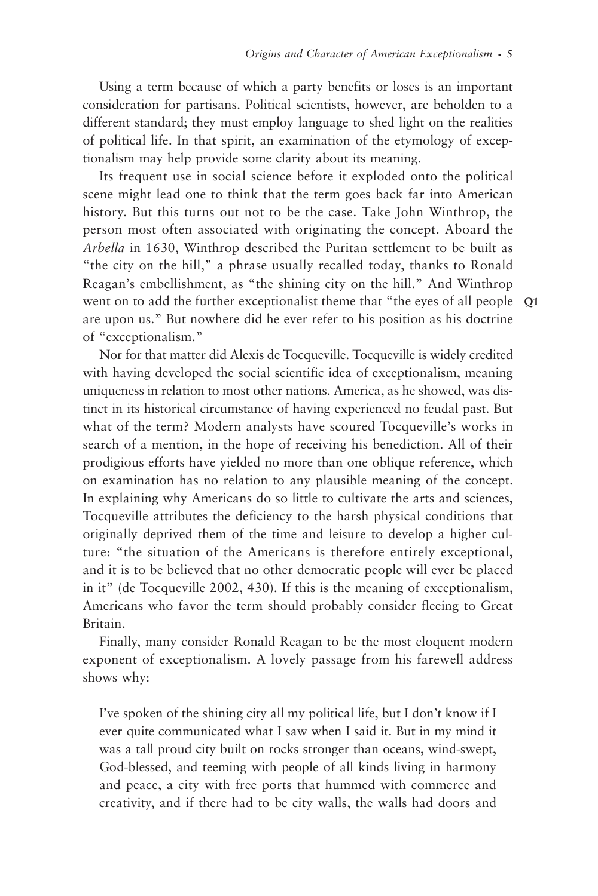Using a term because of which a party benefits or loses is an important consideration for partisans. Political scientists, however, are beholden to a different standard; they must employ language to shed light on the realities of political life. In that spirit, an examination of the etymology of exceptionalism may help provide some clarity about its meaning.

Its frequent use in social science before it exploded onto the political scene might lead one to think that the term goes back far into American history. But this turns out not to be the case. Take John Winthrop, the person most often associated with originating the concept. Aboard the Arbella in 1630, Winthrop described the Puritan settlement to be built as "the city on the hill," a phrase usually recalled today, thanks to Ronald Reagan's embellishment, as "the shining city on the hill." And Winthrop went on to add the further exceptionalist theme that "the eyes of all people Q1 are upon us." But nowhere did he ever refer to his position as his doctrine of "exceptionalism."

Nor for that matter did Alexis de Tocqueville. Tocqueville is widely credited with having developed the social scientific idea of exceptionalism, meaning uniqueness in relation to most other nations. America, as he showed, was distinct in its historical circumstance of having experienced no feudal past. But what of the term? Modern analysts have scoured Tocqueville's works in search of a mention, in the hope of receiving his benediction. All of their prodigious efforts have yielded no more than one oblique reference, which on examination has no relation to any plausible meaning of the concept. In explaining why Americans do so little to cultivate the arts and sciences, Tocqueville attributes the deficiency to the harsh physical conditions that originally deprived them of the time and leisure to develop a higher culture: "the situation of the Americans is therefore entirely exceptional, and it is to be believed that no other democratic people will ever be placed in it" (de Tocqueville 2002, 430). If this is the meaning of exceptionalism, Americans who favor the term should probably consider fleeing to Great Britain.

Finally, many consider Ronald Reagan to be the most eloquent modern exponent of exceptionalism. A lovely passage from his farewell address shows why:

I've spoken of the shining city all my political life, but I don't know if I ever quite communicated what I saw when I said it. But in my mind it was a tall proud city built on rocks stronger than oceans, wind-swept, God-blessed, and teeming with people of all kinds living in harmony and peace, a city with free ports that hummed with commerce and creativity, and if there had to be city walls, the walls had doors and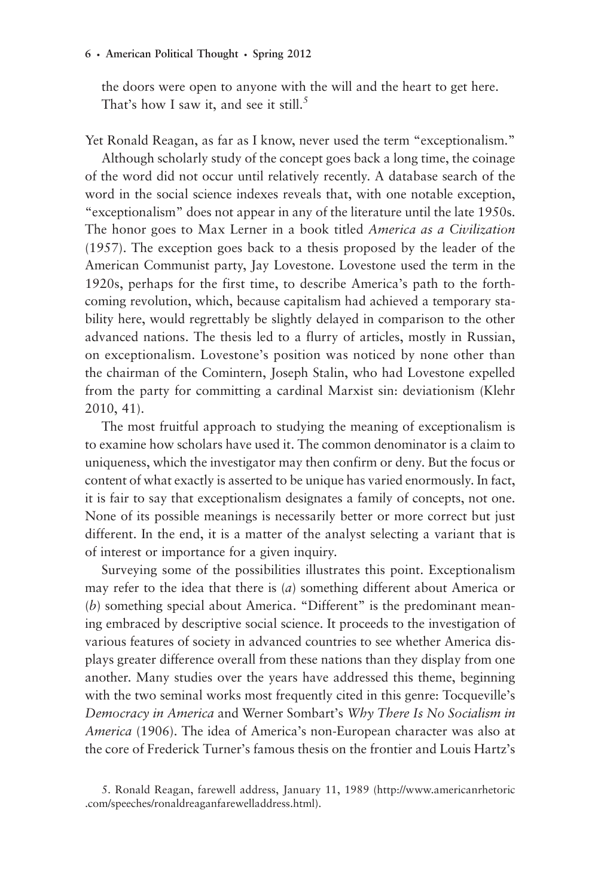the doors were open to anyone with the will and the heart to get here. That's how I saw it, and see it still.<sup>5</sup>

Yet Ronald Reagan, as far as I know, never used the term "exceptionalism."

Although scholarly study of the concept goes back a long time, the coinage of the word did not occur until relatively recently. A database search of the word in the social science indexes reveals that, with one notable exception, "exceptionalism" does not appear in any of the literature until the late 1950s. The honor goes to Max Lerner in a book titled America as a Civilization (1957). The exception goes back to a thesis proposed by the leader of the American Communist party, Jay Lovestone. Lovestone used the term in the 1920s, perhaps for the first time, to describe America's path to the forthcoming revolution, which, because capitalism had achieved a temporary stability here, would regrettably be slightly delayed in comparison to the other advanced nations. The thesis led to a flurry of articles, mostly in Russian, on exceptionalism. Lovestone's position was noticed by none other than the chairman of the Comintern, Joseph Stalin, who had Lovestone expelled from the party for committing a cardinal Marxist sin: deviationism (Klehr 2010, 41).

The most fruitful approach to studying the meaning of exceptionalism is to examine how scholars have used it. The common denominator is a claim to uniqueness, which the investigator may then confirm or deny. But the focus or content of what exactly is asserted to be unique has varied enormously. In fact, it is fair to say that exceptionalism designates a family of concepts, not one. None of its possible meanings is necessarily better or more correct but just different. In the end, it is a matter of the analyst selecting a variant that is of interest or importance for a given inquiry.

Surveying some of the possibilities illustrates this point. Exceptionalism may refer to the idea that there is (a) something different about America or (b) something special about America. "Different" is the predominant meaning embraced by descriptive social science. It proceeds to the investigation of various features of society in advanced countries to see whether America displays greater difference overall from these nations than they display from one another. Many studies over the years have addressed this theme, beginning with the two seminal works most frequently cited in this genre: Tocqueville's Democracy in America and Werner Sombart's Why There Is No Socialism in America (1906). The idea of America's non-European character was also at the core of Frederick Turner's famous thesis on the frontier and Louis Hartz's

<sup>5.</sup> Ronald Reagan, farewell address, January 11, 1989 (http://www.americanrhetoric .com/speeches/ronaldreaganfarewelladdress.html).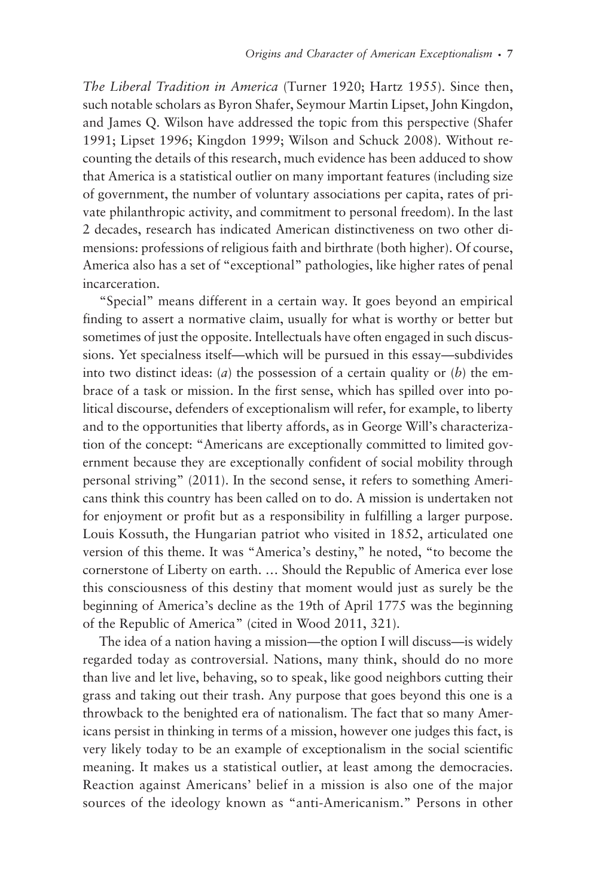The Liberal Tradition in America (Turner 1920; Hartz 1955). Since then, such notable scholars as Byron Shafer, Seymour Martin Lipset, John Kingdon, and James Q. Wilson have addressed the topic from this perspective (Shafer 1991; Lipset 1996; Kingdon 1999; Wilson and Schuck 2008). Without recounting the details of this research, much evidence has been adduced to show that America is a statistical outlier on many important features (including size of government, the number of voluntary associations per capita, rates of private philanthropic activity, and commitment to personal freedom). In the last 2 decades, research has indicated American distinctiveness on two other dimensions: professions of religious faith and birthrate (both higher). Of course, America also has a set of "exceptional" pathologies, like higher rates of penal incarceration.

"Special" means different in a certain way. It goes beyond an empirical finding to assert a normative claim, usually for what is worthy or better but sometimes of just the opposite. Intellectuals have often engaged in such discussions. Yet specialness itself—which will be pursued in this essay—subdivides into two distinct ideas: (*a*) the possession of a certain quality or (*b*) the embrace of a task or mission. In the first sense, which has spilled over into political discourse, defenders of exceptionalism will refer, for example, to liberty and to the opportunities that liberty affords, as in George Will's characterization of the concept: "Americans are exceptionally committed to limited government because they are exceptionally confident of social mobility through personal striving" (2011). In the second sense, it refers to something Americans think this country has been called on to do. A mission is undertaken not for enjoyment or profit but as a responsibility in fulfilling a larger purpose. Louis Kossuth, the Hungarian patriot who visited in 1852, articulated one version of this theme. It was "America's destiny," he noted, "to become the cornerstone of Liberty on earth. … Should the Republic of America ever lose this consciousness of this destiny that moment would just as surely be the beginning of America's decline as the 19th of April 1775 was the beginning of the Republic of America" (cited in Wood 2011, 321).

The idea of a nation having a mission—the option I will discuss—is widely regarded today as controversial. Nations, many think, should do no more than live and let live, behaving, so to speak, like good neighbors cutting their grass and taking out their trash. Any purpose that goes beyond this one is a throwback to the benighted era of nationalism. The fact that so many Americans persist in thinking in terms of a mission, however one judges this fact, is very likely today to be an example of exceptionalism in the social scientific meaning. It makes us a statistical outlier, at least among the democracies. Reaction against Americans' belief in a mission is also one of the major sources of the ideology known as "anti-Americanism." Persons in other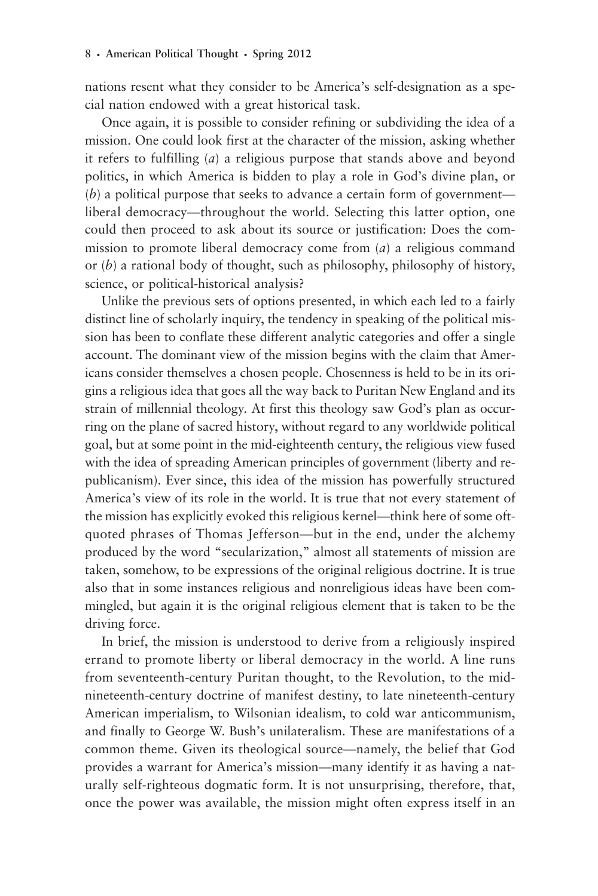nations resent what they consider to be America's self-designation as a special nation endowed with a great historical task.

Once again, it is possible to consider refining or subdividing the idea of a mission. One could look first at the character of the mission, asking whether it refers to fulfilling  $(a)$  a religious purpose that stands above and beyond politics, in which America is bidden to play a role in God's divine plan, or (b) a political purpose that seeks to advance a certain form of government liberal democracy—throughout the world. Selecting this latter option, one could then proceed to ask about its source or justification: Does the commission to promote liberal democracy come from  $(a)$  a religious command or (b) a rational body of thought, such as philosophy, philosophy of history, science, or political-historical analysis?

Unlike the previous sets of options presented, in which each led to a fairly distinct line of scholarly inquiry, the tendency in speaking of the political mission has been to conflate these different analytic categories and offer a single account. The dominant view of the mission begins with the claim that Americans consider themselves a chosen people. Chosenness is held to be in its origins a religious idea that goes all the way back to Puritan New England and its strain of millennial theology. At first this theology saw God's plan as occurring on the plane of sacred history, without regard to any worldwide political goal, but at some point in the mid-eighteenth century, the religious view fused with the idea of spreading American principles of government (liberty and republicanism). Ever since, this idea of the mission has powerfully structured America's view of its role in the world. It is true that not every statement of the mission has explicitly evoked this religious kernel—think here of some oftquoted phrases of Thomas Jefferson—but in the end, under the alchemy produced by the word "secularization," almost all statements of mission are taken, somehow, to be expressions of the original religious doctrine. It is true also that in some instances religious and nonreligious ideas have been commingled, but again it is the original religious element that is taken to be the driving force.

In brief, the mission is understood to derive from a religiously inspired errand to promote liberty or liberal democracy in the world. A line runs from seventeenth-century Puritan thought, to the Revolution, to the midnineteenth-century doctrine of manifest destiny, to late nineteenth-century American imperialism, to Wilsonian idealism, to cold war anticommunism, and finally to George W. Bush's unilateralism. These are manifestations of a common theme. Given its theological source—namely, the belief that God provides a warrant for America's mission—many identify it as having a naturally self-righteous dogmatic form. It is not unsurprising, therefore, that, once the power was available, the mission might often express itself in an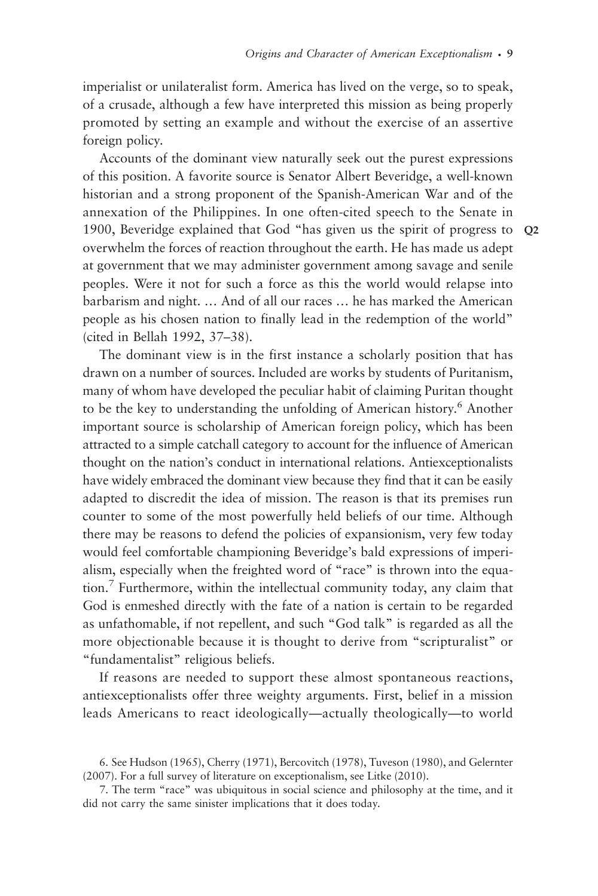imperialist or unilateralist form. America has lived on the verge, so to speak, of a crusade, although a few have interpreted this mission as being properly promoted by setting an example and without the exercise of an assertive foreign policy.

Accounts of the dominant view naturally seek out the purest expressions of this position. A favorite source is Senator Albert Beveridge, a well-known historian and a strong proponent of the Spanish-American War and of the annexation of the Philippines. In one often-cited speech to the Senate in 1900, Beveridge explained that God "has given us the spirit of progress to Q2 overwhelm the forces of reaction throughout the earth. He has made us adept at government that we may administer government among savage and senile peoples. Were it not for such a force as this the world would relapse into barbarism and night. … And of all our races … he has marked the American people as his chosen nation to finally lead in the redemption of the world" (cited in Bellah 1992, 37–38).

The dominant view is in the first instance a scholarly position that has drawn on a number of sources. Included are works by students of Puritanism, many of whom have developed the peculiar habit of claiming Puritan thought to be the key to understanding the unfolding of American history.<sup>6</sup> Another important source is scholarship of American foreign policy, which has been attracted to a simple catchall category to account for the influence of American thought on the nation's conduct in international relations. Antiexceptionalists have widely embraced the dominant view because they find that it can be easily adapted to discredit the idea of mission. The reason is that its premises run counter to some of the most powerfully held beliefs of our time. Although there may be reasons to defend the policies of expansionism, very few today would feel comfortable championing Beveridge's bald expressions of imperialism, especially when the freighted word of "race" is thrown into the equation.<sup>7</sup> Furthermore, within the intellectual community today, any claim that God is enmeshed directly with the fate of a nation is certain to be regarded as unfathomable, if not repellent, and such "God talk" is regarded as all the more objectionable because it is thought to derive from "scripturalist" or "fundamentalist" religious beliefs.

If reasons are needed to support these almost spontaneous reactions, antiexceptionalists offer three weighty arguments. First, belief in a mission leads Americans to react ideologically—actually theologically—to world

<sup>6.</sup> See Hudson (1965), Cherry (1971), Bercovitch (1978), Tuveson (1980), and Gelernter (2007). For a full survey of literature on exceptionalism, see Litke (2010).

<sup>7.</sup> The term "race" was ubiquitous in social science and philosophy at the time, and it did not carry the same sinister implications that it does today.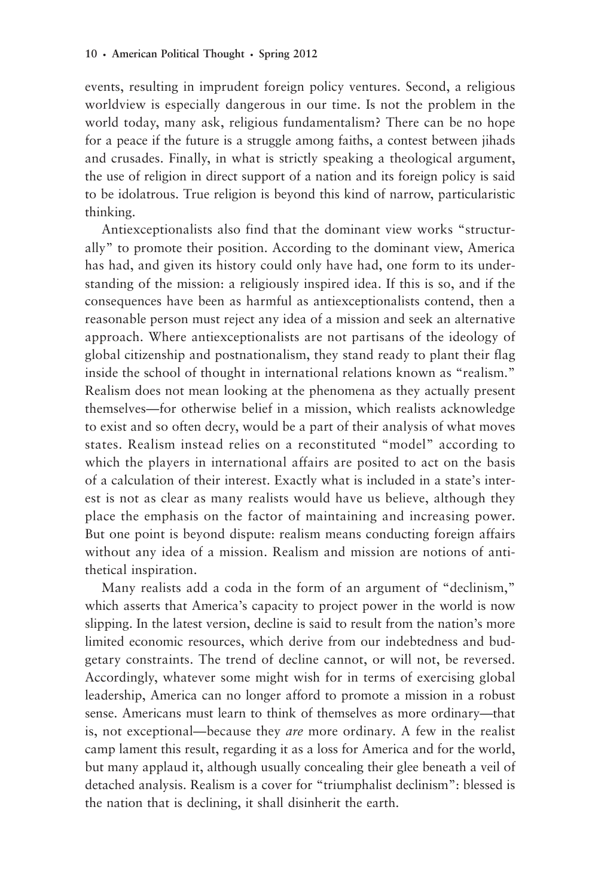events, resulting in imprudent foreign policy ventures. Second, a religious worldview is especially dangerous in our time. Is not the problem in the world today, many ask, religious fundamentalism? There can be no hope for a peace if the future is a struggle among faiths, a contest between jihads and crusades. Finally, in what is strictly speaking a theological argument, the use of religion in direct support of a nation and its foreign policy is said to be idolatrous. True religion is beyond this kind of narrow, particularistic thinking.

Antiexceptionalists also find that the dominant view works "structurally" to promote their position. According to the dominant view, America has had, and given its history could only have had, one form to its understanding of the mission: a religiously inspired idea. If this is so, and if the consequences have been as harmful as antiexceptionalists contend, then a reasonable person must reject any idea of a mission and seek an alternative approach. Where antiexceptionalists are not partisans of the ideology of global citizenship and postnationalism, they stand ready to plant their flag inside the school of thought in international relations known as "realism." Realism does not mean looking at the phenomena as they actually present themselves—for otherwise belief in a mission, which realists acknowledge to exist and so often decry, would be a part of their analysis of what moves states. Realism instead relies on a reconstituted "model" according to which the players in international affairs are posited to act on the basis of a calculation of their interest. Exactly what is included in a state's interest is not as clear as many realists would have us believe, although they place the emphasis on the factor of maintaining and increasing power. But one point is beyond dispute: realism means conducting foreign affairs without any idea of a mission. Realism and mission are notions of antithetical inspiration.

Many realists add a coda in the form of an argument of "declinism," which asserts that America's capacity to project power in the world is now slipping. In the latest version, decline is said to result from the nation's more limited economic resources, which derive from our indebtedness and budgetary constraints. The trend of decline cannot, or will not, be reversed. Accordingly, whatever some might wish for in terms of exercising global leadership, America can no longer afford to promote a mission in a robust sense. Americans must learn to think of themselves as more ordinary—that is, not exceptional—because they are more ordinary. A few in the realist camp lament this result, regarding it as a loss for America and for the world, but many applaud it, although usually concealing their glee beneath a veil of detached analysis. Realism is a cover for "triumphalist declinism": blessed is the nation that is declining, it shall disinherit the earth.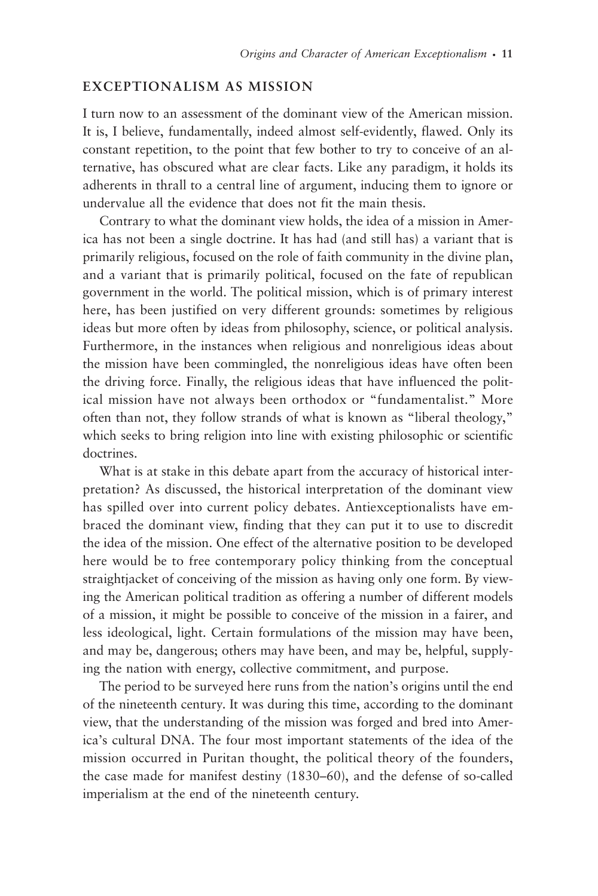### **EXCEPTIONALISM AS MISSION** EXCEPTIONALISM AS MISSION

I turn now to an assessment of the dominant view of the American mission. It is, I believe, fundamentally, indeed almost self-evidently, flawed. Only its constant repetition, to the point that few bother to try to conceive of an alternative, has obscured what are clear facts. Like any paradigm, it holds its adherents in thrall to a central line of argument, inducing them to ignore or undervalue all the evidence that does not fit the main thesis.

Contrary to what the dominant view holds, the idea of a mission in America has not been a single doctrine. It has had (and still has) a variant that is primarily religious, focused on the role of faith community in the divine plan, and a variant that is primarily political, focused on the fate of republican government in the world. The political mission, which is of primary interest here, has been justified on very different grounds: sometimes by religious ideas but more often by ideas from philosophy, science, or political analysis. Furthermore, in the instances when religious and nonreligious ideas about the mission have been commingled, the nonreligious ideas have often been the driving force. Finally, the religious ideas that have influenced the political mission have not always been orthodox or "fundamentalist." More often than not, they follow strands of what is known as "liberal theology," which seeks to bring religion into line with existing philosophic or scientific doctrines.

What is at stake in this debate apart from the accuracy of historical interpretation? As discussed, the historical interpretation of the dominant view has spilled over into current policy debates. Antiexceptionalists have embraced the dominant view, finding that they can put it to use to discredit the idea of the mission. One effect of the alternative position to be developed here would be to free contemporary policy thinking from the conceptual straightjacket of conceiving of the mission as having only one form. By viewing the American political tradition as offering a number of different models of a mission, it might be possible to conceive of the mission in a fairer, and less ideological, light. Certain formulations of the mission may have been, and may be, dangerous; others may have been, and may be, helpful, supplying the nation with energy, collective commitment, and purpose.

The period to be surveyed here runs from the nation's origins until the end of the nineteenth century. It was during this time, according to the dominant view, that the understanding of the mission was forged and bred into America's cultural DNA. The four most important statements of the idea of the mission occurred in Puritan thought, the political theory of the founders, the case made for manifest destiny (1830–60), and the defense of so-called imperialism at the end of the nineteenth century.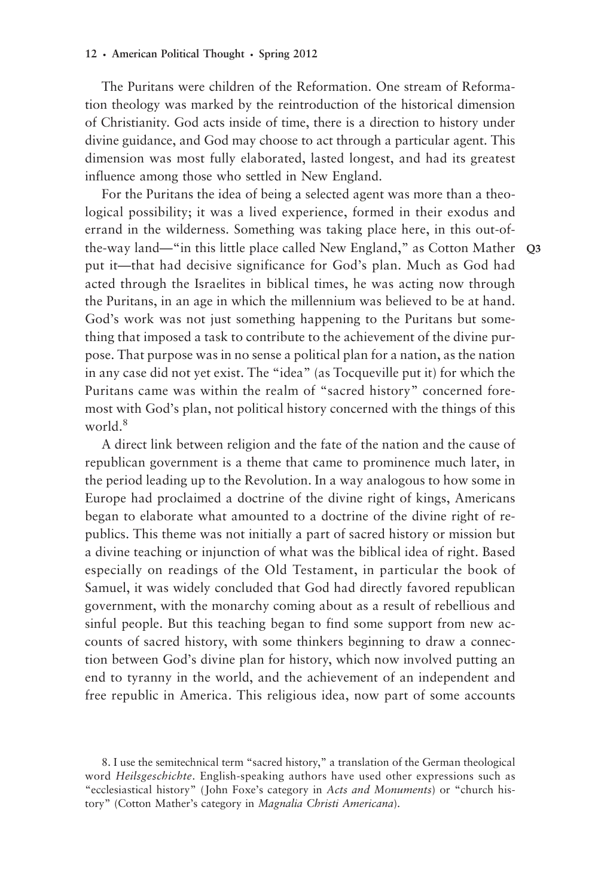The Puritans were children of the Reformation. One stream of Reformation theology was marked by the reintroduction of the historical dimension of Christianity. God acts inside of time, there is a direction to history under divine guidance, and God may choose to act through a particular agent. This dimension was most fully elaborated, lasted longest, and had its greatest influence among those who settled in New England.

For the Puritans the idea of being a selected agent was more than a theological possibility; it was a lived experience, formed in their exodus and errand in the wilderness. Something was taking place here, in this out-ofthe-way land—"in this little place called New England," as Cotton Mather Q3 put it—that had decisive significance for God's plan. Much as God had acted through the Israelites in biblical times, he was acting now through the Puritans, in an age in which the millennium was believed to be at hand. God's work was not just something happening to the Puritans but something that imposed a task to contribute to the achievement of the divine purpose. That purpose was in no sense a political plan for a nation, as the nation in any case did not yet exist. The "idea" (as Tocqueville put it) for which the Puritans came was within the realm of "sacred history" concerned foremost with God's plan, not political history concerned with the things of this world.<sup>8</sup>

A direct link between religion and the fate of the nation and the cause of republican government is a theme that came to prominence much later, in the period leading up to the Revolution. In a way analogous to how some in Europe had proclaimed a doctrine of the divine right of kings, Americans began to elaborate what amounted to a doctrine of the divine right of republics. This theme was not initially a part of sacred history or mission but a divine teaching or injunction of what was the biblical idea of right. Based especially on readings of the Old Testament, in particular the book of Samuel, it was widely concluded that God had directly favored republican government, with the monarchy coming about as a result of rebellious and sinful people. But this teaching began to find some support from new accounts of sacred history, with some thinkers beginning to draw a connection between God's divine plan for history, which now involved putting an end to tyranny in the world, and the achievement of an independent and free republic in America. This religious idea, now part of some accounts

<sup>8.</sup> I use the semitechnical term "sacred history," a translation of the German theological word Heilsgeschichte. English-speaking authors have used other expressions such as "ecclesiastical history" (John Foxe's category in Acts and Monuments) or "church history" (Cotton Mather's category in Magnalia Christi Americana).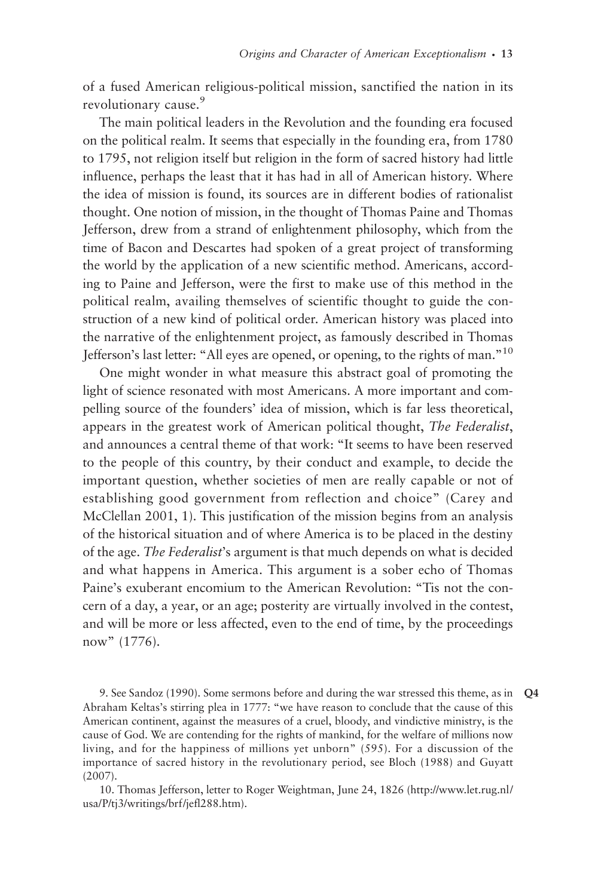of a fused American religious-political mission, sanctified the nation in its revolutionary cause.<sup>9</sup>

The main political leaders in the Revolution and the founding era focused on the political realm. It seems that especially in the founding era, from 1780 to 1795, not religion itself but religion in the form of sacred history had little influence, perhaps the least that it has had in all of American history. Where the idea of mission is found, its sources are in different bodies of rationalist thought. One notion of mission, in the thought of Thomas Paine and Thomas Jefferson, drew from a strand of enlightenment philosophy, which from the time of Bacon and Descartes had spoken of a great project of transforming the world by the application of a new scientific method. Americans, according to Paine and Jefferson, were the first to make use of this method in the political realm, availing themselves of scientific thought to guide the construction of a new kind of political order. American history was placed into the narrative of the enlightenment project, as famously described in Thomas Jefferson's last letter: "All eyes are opened, or opening, to the rights of man."<sup>10</sup>

One might wonder in what measure this abstract goal of promoting the light of science resonated with most Americans. A more important and compelling source of the founders' idea of mission, which is far less theoretical, appears in the greatest work of American political thought, The Federalist, and announces a central theme of that work: "It seems to have been reserved to the people of this country, by their conduct and example, to decide the important question, whether societies of men are really capable or not of establishing good government from reflection and choice" (Carey and McClellan 2001, 1). This justification of the mission begins from an analysis of the historical situation and of where America is to be placed in the destiny of the age. The Federalist's argument is that much depends on what is decided and what happens in America. This argument is a sober echo of Thomas Paine's exuberant encomium to the American Revolution: "Tis not the concern of a day, a year, or an age; posterity are virtually involved in the contest, and will be more or less affected, even to the end of time, by the proceedings now" (1776).

9. See Sandoz (1990). Some sermons before and during the war stressed this theme, as in Q4 Abraham Keltas's stirring plea in 1777: "we have reason to conclude that the cause of this American continent, against the measures of a cruel, bloody, and vindictive ministry, is the cause of God. We are contending for the rights of mankind, for the welfare of millions now living, and for the happiness of millions yet unborn" (595). For a discussion of the importance of sacred history in the revolutionary period, see Bloch (1988) and Guyatt (2007).

10. Thomas Jefferson, letter to Roger Weightman, June 24, 1826 (http://www.let.rug.nl/ usa/P/tj3/writings/brf/jefl288.htm).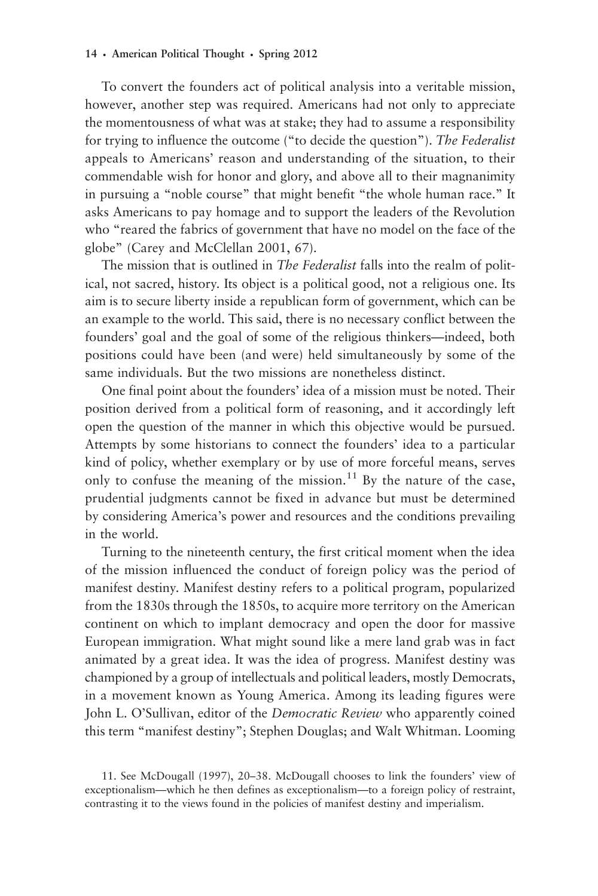To convert the founders act of political analysis into a veritable mission, however, another step was required. Americans had not only to appreciate the momentousness of what was at stake; they had to assume a responsibility for trying to influence the outcome ("to decide the question"). The Federalist appeals to Americans' reason and understanding of the situation, to their commendable wish for honor and glory, and above all to their magnanimity in pursuing a "noble course" that might benefit "the whole human race." It asks Americans to pay homage and to support the leaders of the Revolution who "reared the fabrics of government that have no model on the face of the globe" (Carey and McClellan 2001, 67).

The mission that is outlined in The Federalist falls into the realm of political, not sacred, history. Its object is a political good, not a religious one. Its aim is to secure liberty inside a republican form of government, which can be an example to the world. This said, there is no necessary conflict between the founders' goal and the goal of some of the religious thinkers—indeed, both positions could have been (and were) held simultaneously by some of the same individuals. But the two missions are nonetheless distinct.

One final point about the founders' idea of a mission must be noted. Their position derived from a political form of reasoning, and it accordingly left open the question of the manner in which this objective would be pursued. Attempts by some historians to connect the founders' idea to a particular kind of policy, whether exemplary or by use of more forceful means, serves only to confuse the meaning of the mission.<sup>11</sup> By the nature of the case, prudential judgments cannot be fixed in advance but must be determined by considering America's power and resources and the conditions prevailing in the world.

Turning to the nineteenth century, the first critical moment when the idea of the mission influenced the conduct of foreign policy was the period of manifest destiny. Manifest destiny refers to a political program, popularized from the 1830s through the 1850s, to acquire more territory on the American continent on which to implant democracy and open the door for massive European immigration. What might sound like a mere land grab was in fact animated by a great idea. It was the idea of progress. Manifest destiny was championed by a group of intellectuals and political leaders, mostly Democrats, in a movement known as Young America. Among its leading figures were John L. O'Sullivan, editor of the Democratic Review who apparently coined this term "manifest destiny"; Stephen Douglas; and Walt Whitman. Looming

<sup>11.</sup> See McDougall (1997), 20–38. McDougall chooses to link the founders' view of exceptionalism—which he then defines as exceptionalism—to a foreign policy of restraint, contrasting it to the views found in the policies of manifest destiny and imperialism.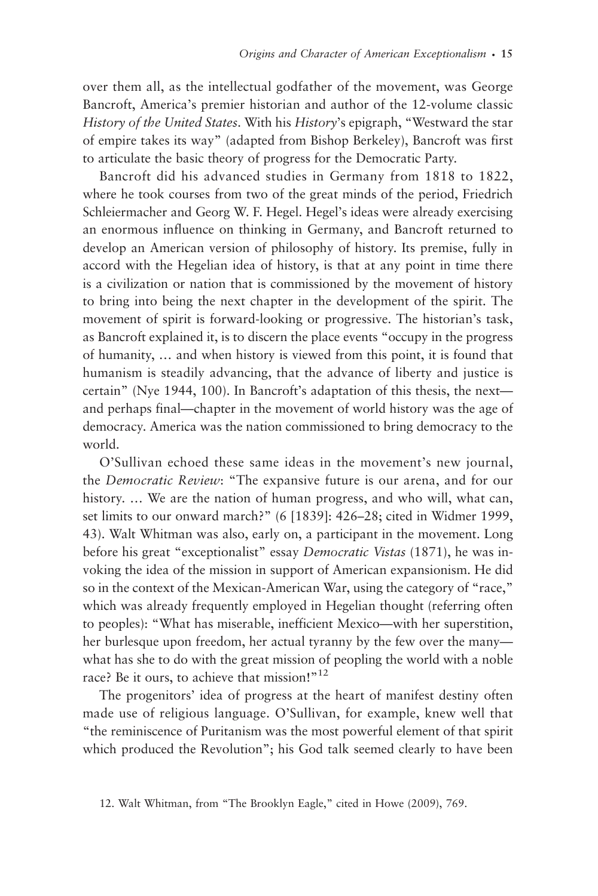over them all, as the intellectual godfather of the movement, was George Bancroft, America's premier historian and author of the 12-volume classic History of the United States. With his History's epigraph, "Westward the star of empire takes its way" (adapted from Bishop Berkeley), Bancroft was first to articulate the basic theory of progress for the Democratic Party.

Bancroft did his advanced studies in Germany from 1818 to 1822, where he took courses from two of the great minds of the period, Friedrich Schleiermacher and Georg W. F. Hegel. Hegel's ideas were already exercising an enormous influence on thinking in Germany, and Bancroft returned to develop an American version of philosophy of history. Its premise, fully in accord with the Hegelian idea of history, is that at any point in time there is a civilization or nation that is commissioned by the movement of history to bring into being the next chapter in the development of the spirit. The movement of spirit is forward-looking or progressive. The historian's task, as Bancroft explained it, is to discern the place events "occupy in the progress of humanity, … and when history is viewed from this point, it is found that humanism is steadily advancing, that the advance of liberty and justice is certain" (Nye 1944, 100). In Bancroft's adaptation of this thesis, the next and perhaps final—chapter in the movement of world history was the age of democracy. America was the nation commissioned to bring democracy to the world.

O'Sullivan echoed these same ideas in the movement's new journal, the Democratic Review: "The expansive future is our arena, and for our history. … We are the nation of human progress, and who will, what can, set limits to our onward march?" (6 [1839]: 426–28; cited in Widmer 1999, 43). Walt Whitman was also, early on, a participant in the movement. Long before his great "exceptionalist" essay Democratic Vistas (1871), he was invoking the idea of the mission in support of American expansionism. He did so in the context of the Mexican-American War, using the category of "race," which was already frequently employed in Hegelian thought (referring often to peoples): "What has miserable, inefficient Mexico—with her superstition, her burlesque upon freedom, her actual tyranny by the few over the many what has she to do with the great mission of peopling the world with a noble race? Be it ours, to achieve that mission!"<sup>12</sup>

The progenitors' idea of progress at the heart of manifest destiny often made use of religious language. O'Sullivan, for example, knew well that "the reminiscence of Puritanism was the most powerful element of that spirit which produced the Revolution"; his God talk seemed clearly to have been

<sup>12.</sup> Walt Whitman, from "The Brooklyn Eagle," cited in Howe (2009), 769.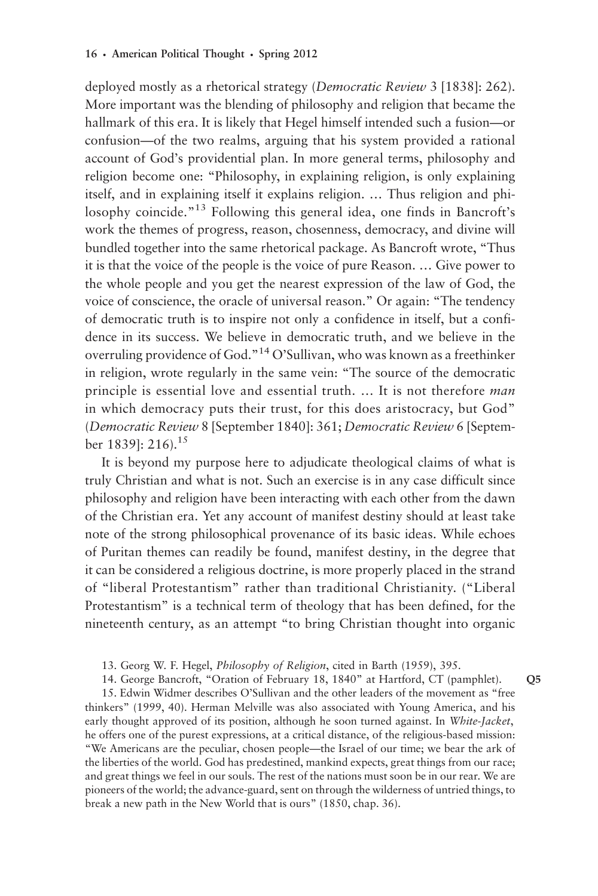deployed mostly as a rhetorical strategy (Democratic Review 3 [1838]: 262). More important was the blending of philosophy and religion that became the hallmark of this era. It is likely that Hegel himself intended such a fusion—or confusion—of the two realms, arguing that his system provided a rational account of God's providential plan. In more general terms, philosophy and religion become one: "Philosophy, in explaining religion, is only explaining itself, and in explaining itself it explains religion. … Thus religion and philosophy coincide."<sup>13</sup> Following this general idea, one finds in Bancroft's work the themes of progress, reason, chosenness, democracy, and divine will bundled together into the same rhetorical package. As Bancroft wrote, "Thus it is that the voice of the people is the voice of pure Reason. … Give power to the whole people and you get the nearest expression of the law of God, the voice of conscience, the oracle of universal reason." Or again: "The tendency of democratic truth is to inspire not only a confidence in itself, but a confidence in its success. We believe in democratic truth, and we believe in the overruling providence of God."<sup>14</sup> O'Sullivan, who was known as a freethinker in religion, wrote regularly in the same vein: "The source of the democratic principle is essential love and essential truth. ... It is not therefore man in which democracy puts their trust, for this does aristocracy, but God" (Democratic Review 8 [September 1840]: 361; Democratic Review 6 [September 1839]: 216).<sup>15</sup>

It is beyond my purpose here to adjudicate theological claims of what is truly Christian and what is not. Such an exercise is in any case difficult since philosophy and religion have been interacting with each other from the dawn of the Christian era. Yet any account of manifest destiny should at least take note of the strong philosophical provenance of its basic ideas. While echoes of Puritan themes can readily be found, manifest destiny, in the degree that it can be considered a religious doctrine, is more properly placed in the strand of "liberal Protestantism" rather than traditional Christianity. ("Liberal Protestantism" is a technical term of theology that has been defined, for the nineteenth century, as an attempt "to bring Christian thought into organic

15. Edwin Widmer describes O'Sullivan and the other leaders of the movement as "free thinkers" (1999, 40). Herman Melville was also associated with Young America, and his early thought approved of its position, although he soon turned against. In White-Jacket, he offers one of the purest expressions, at a critical distance, of the religious-based mission: "We Americans are the peculiar, chosen people—the Israel of our time; we bear the ark of the liberties of the world. God has predestined, mankind expects, great things from our race; and great things we feel in our souls. The rest of the nations must soon be in our rear. We are pioneers of the world; the advance-guard, sent on through the wilderness of untried things, to break a new path in the New World that is ours" (1850, chap. 36).

<sup>13.</sup> Georg W. F. Hegel, Philosophy of Religion, cited in Barth (1959), 395.

<sup>14.</sup> George Bancroft, "Oration of February 18, 1840" at Hartford, CT (pamphlet). Q5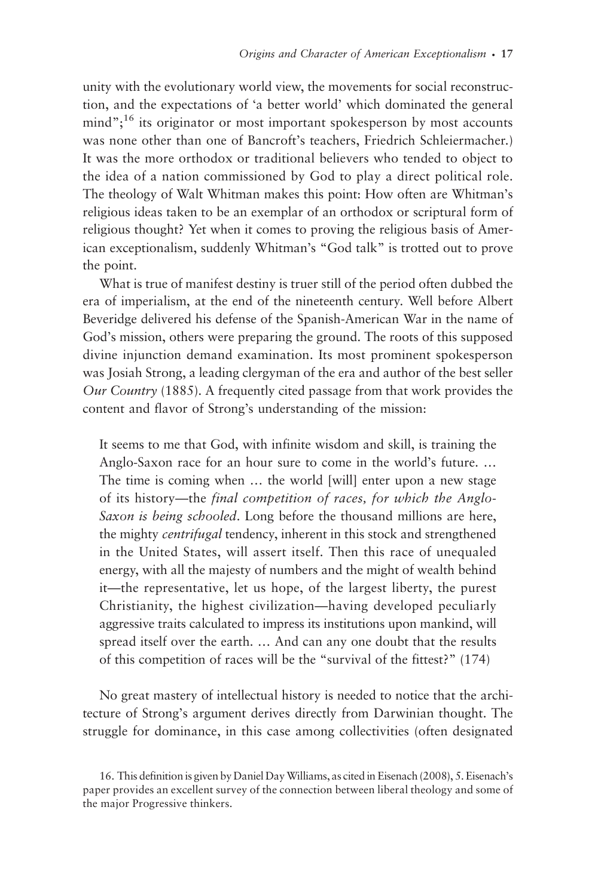unity with the evolutionary world view, the movements for social reconstruction, and the expectations of 'a better world' which dominated the general mind";<sup>16</sup> its originator or most important spokesperson by most accounts was none other than one of Bancroft's teachers, Friedrich Schleiermacher.) It was the more orthodox or traditional believers who tended to object to the idea of a nation commissioned by God to play a direct political role. The theology of Walt Whitman makes this point: How often are Whitman's religious ideas taken to be an exemplar of an orthodox or scriptural form of religious thought? Yet when it comes to proving the religious basis of American exceptionalism, suddenly Whitman's "God talk" is trotted out to prove the point.

What is true of manifest destiny is truer still of the period often dubbed the era of imperialism, at the end of the nineteenth century. Well before Albert Beveridge delivered his defense of the Spanish-American War in the name of God's mission, others were preparing the ground. The roots of this supposed divine injunction demand examination. Its most prominent spokesperson was Josiah Strong, a leading clergyman of the era and author of the best seller Our Country (1885). A frequently cited passage from that work provides the content and flavor of Strong's understanding of the mission:

It seems to me that God, with infinite wisdom and skill, is training the Anglo-Saxon race for an hour sure to come in the world's future. … The time is coming when … the world [will] enter upon a new stage of its history—the final competition of races, for which the Anglo-Saxon is being schooled. Long before the thousand millions are here, the mighty *centrifugal* tendency, inherent in this stock and strengthened in the United States, will assert itself. Then this race of unequaled energy, with all the majesty of numbers and the might of wealth behind it—the representative, let us hope, of the largest liberty, the purest Christianity, the highest civilization—having developed peculiarly aggressive traits calculated to impress its institutions upon mankind, will spread itself over the earth. … And can any one doubt that the results of this competition of races will be the "survival of the fittest?" (174)

No great mastery of intellectual history is needed to notice that the architecture of Strong's argument derives directly from Darwinian thought. The struggle for dominance, in this case among collectivities (often designated

<sup>16.</sup> This definition is given by Daniel DayWilliams, as cited in Eisenach (2008), 5. Eisenach's paper provides an excellent survey of the connection between liberal theology and some of the major Progressive thinkers.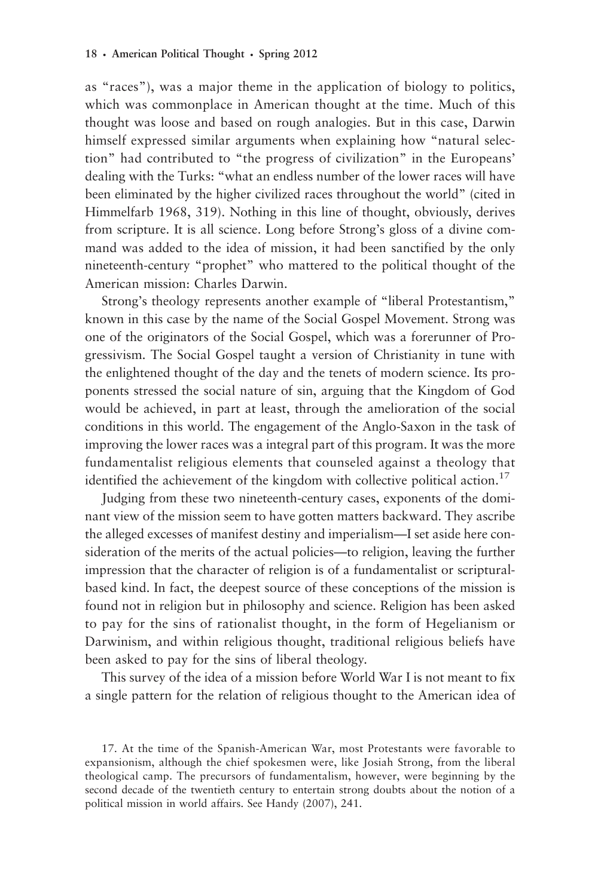as "races"), was a major theme in the application of biology to politics, which was commonplace in American thought at the time. Much of this thought was loose and based on rough analogies. But in this case, Darwin himself expressed similar arguments when explaining how "natural selection" had contributed to "the progress of civilization" in the Europeans' dealing with the Turks: "what an endless number of the lower races will have been eliminated by the higher civilized races throughout the world" (cited in Himmelfarb 1968, 319). Nothing in this line of thought, obviously, derives from scripture. It is all science. Long before Strong's gloss of a divine command was added to the idea of mission, it had been sanctified by the only nineteenth-century "prophet" who mattered to the political thought of the American mission: Charles Darwin.

Strong's theology represents another example of "liberal Protestantism," known in this case by the name of the Social Gospel Movement. Strong was one of the originators of the Social Gospel, which was a forerunner of Progressivism. The Social Gospel taught a version of Christianity in tune with the enlightened thought of the day and the tenets of modern science. Its proponents stressed the social nature of sin, arguing that the Kingdom of God would be achieved, in part at least, through the amelioration of the social conditions in this world. The engagement of the Anglo-Saxon in the task of improving the lower races was a integral part of this program. It was the more fundamentalist religious elements that counseled against a theology that identified the achievement of the kingdom with collective political action.<sup>17</sup>

Judging from these two nineteenth-century cases, exponents of the dominant view of the mission seem to have gotten matters backward. They ascribe the alleged excesses of manifest destiny and imperialism—I set aside here consideration of the merits of the actual policies—to religion, leaving the further impression that the character of religion is of a fundamentalist or scripturalbased kind. In fact, the deepest source of these conceptions of the mission is found not in religion but in philosophy and science. Religion has been asked to pay for the sins of rationalist thought, in the form of Hegelianism or Darwinism, and within religious thought, traditional religious beliefs have been asked to pay for the sins of liberal theology.

This survey of the idea of a mission before World War I is not meant to fix a single pattern for the relation of religious thought to the American idea of

<sup>17.</sup> At the time of the Spanish-American War, most Protestants were favorable to expansionism, although the chief spokesmen were, like Josiah Strong, from the liberal theological camp. The precursors of fundamentalism, however, were beginning by the second decade of the twentieth century to entertain strong doubts about the notion of a political mission in world affairs. See Handy (2007), 241.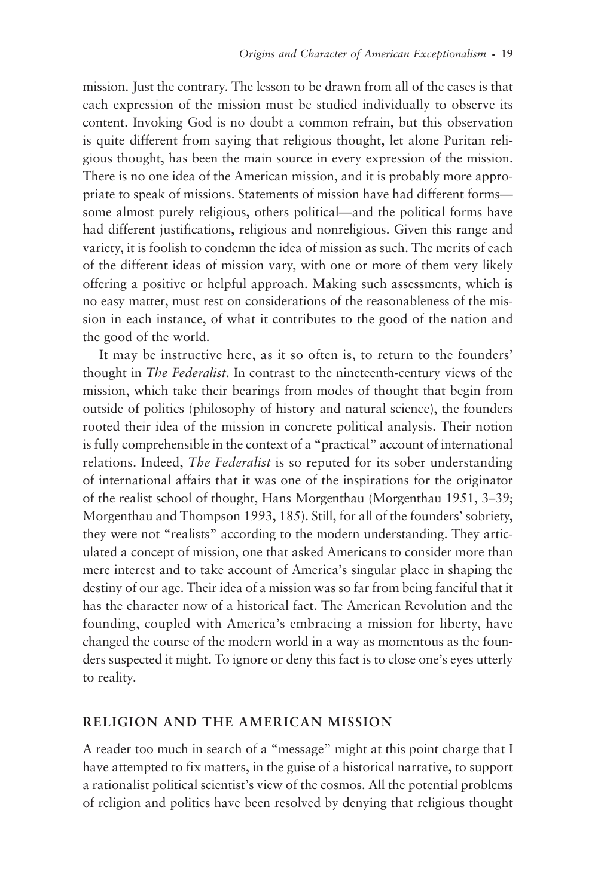mission. Just the contrary. The lesson to be drawn from all of the cases is that each expression of the mission must be studied individually to observe its content. Invoking God is no doubt a common refrain, but this observation is quite different from saying that religious thought, let alone Puritan religious thought, has been the main source in every expression of the mission. There is no one idea of the American mission, and it is probably more appropriate to speak of missions. Statements of mission have had different forms some almost purely religious, others political—and the political forms have had different justifications, religious and nonreligious. Given this range and variety, it is foolish to condemn the idea of mission as such. The merits of each of the different ideas of mission vary, with one or more of them very likely offering a positive or helpful approach. Making such assessments, which is no easy matter, must rest on considerations of the reasonableness of the mission in each instance, of what it contributes to the good of the nation and the good of the world.

It may be instructive here, as it so often is, to return to the founders' thought in The Federalist. In contrast to the nineteenth-century views of the mission, which take their bearings from modes of thought that begin from outside of politics (philosophy of history and natural science), the founders rooted their idea of the mission in concrete political analysis. Their notion is fully comprehensible in the context of a "practical" account of international relations. Indeed, The Federalist is so reputed for its sober understanding of international affairs that it was one of the inspirations for the originator of the realist school of thought, Hans Morgenthau (Morgenthau 1951, 3–39; Morgenthau and Thompson 1993, 185). Still, for all of the founders' sobriety, they were not "realists" according to the modern understanding. They articulated a concept of mission, one that asked Americans to consider more than mere interest and to take account of America's singular place in shaping the destiny of our age. Their idea of a mission was so far from being fanciful that it has the character now of a historical fact. The American Revolution and the founding, coupled with America's embracing a mission for liberty, have changed the course of the modern world in a way as momentous as the founders suspected it might. To ignore or deny this fact is to close one's eyes utterly to reality.

## RELIGION AND THE AMERICAN MISSION

A reader too much in search of a "message" might at this point charge that I have attempted to fix matters, in the guise of a historical narrative, to support a rationalist political scientist's view of the cosmos. All the potential problems of religion and politics have been resolved by denying that religious thought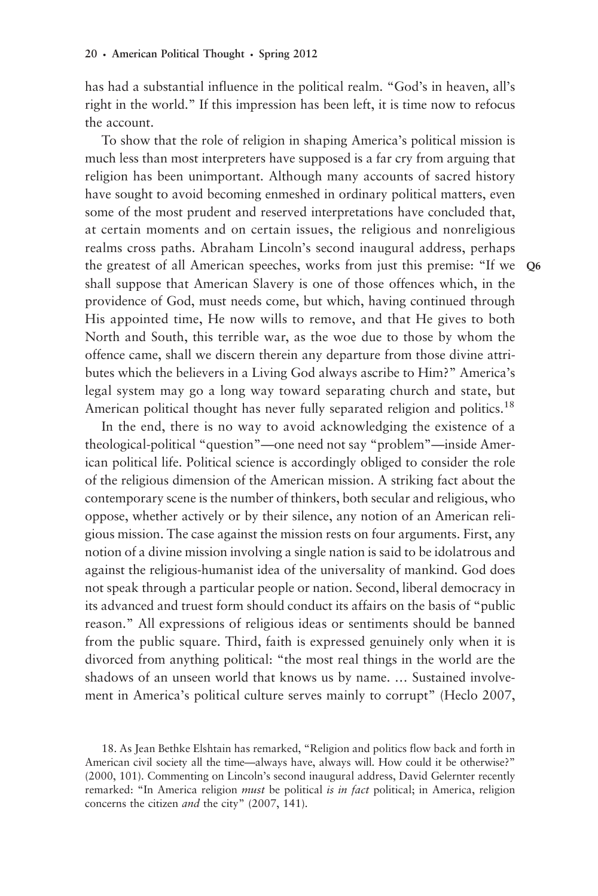has had a substantial influence in the political realm. "God's in heaven, all's right in the world." If this impression has been left, it is time now to refocus the account.

To show that the role of religion in shaping America's political mission is much less than most interpreters have supposed is a far cry from arguing that religion has been unimportant. Although many accounts of sacred history have sought to avoid becoming enmeshed in ordinary political matters, even some of the most prudent and reserved interpretations have concluded that, at certain moments and on certain issues, the religious and nonreligious realms cross paths. Abraham Lincoln's second inaugural address, perhaps the greatest of all American speeches, works from just this premise: "If we Q6 shall suppose that American Slavery is one of those offences which, in the providence of God, must needs come, but which, having continued through His appointed time, He now wills to remove, and that He gives to both North and South, this terrible war, as the woe due to those by whom the offence came, shall we discern therein any departure from those divine attributes which the believers in a Living God always ascribe to Him?" America's legal system may go a long way toward separating church and state, but American political thought has never fully separated religion and politics.<sup>18</sup>

In the end, there is no way to avoid acknowledging the existence of a theological-political "question"—one need not say "problem"—inside American political life. Political science is accordingly obliged to consider the role of the religious dimension of the American mission. A striking fact about the contemporary scene is the number of thinkers, both secular and religious, who oppose, whether actively or by their silence, any notion of an American religious mission. The case against the mission rests on four arguments. First, any notion of a divine mission involving a single nation is said to be idolatrous and against the religious-humanist idea of the universality of mankind. God does not speak through a particular people or nation. Second, liberal democracy in its advanced and truest form should conduct its affairs on the basis of "public reason." All expressions of religious ideas or sentiments should be banned from the public square. Third, faith is expressed genuinely only when it is divorced from anything political: "the most real things in the world are the shadows of an unseen world that knows us by name. … Sustained involvement in America's political culture serves mainly to corrupt" (Heclo 2007,

<sup>18.</sup> As Jean Bethke Elshtain has remarked, "Religion and politics flow back and forth in American civil society all the time—always have, always will. How could it be otherwise?" (2000, 101). Commenting on Lincoln's second inaugural address, David Gelernter recently remarked: "In America religion *must* be political *is in fact* political; in America, religion concerns the citizen and the city" (2007, 141).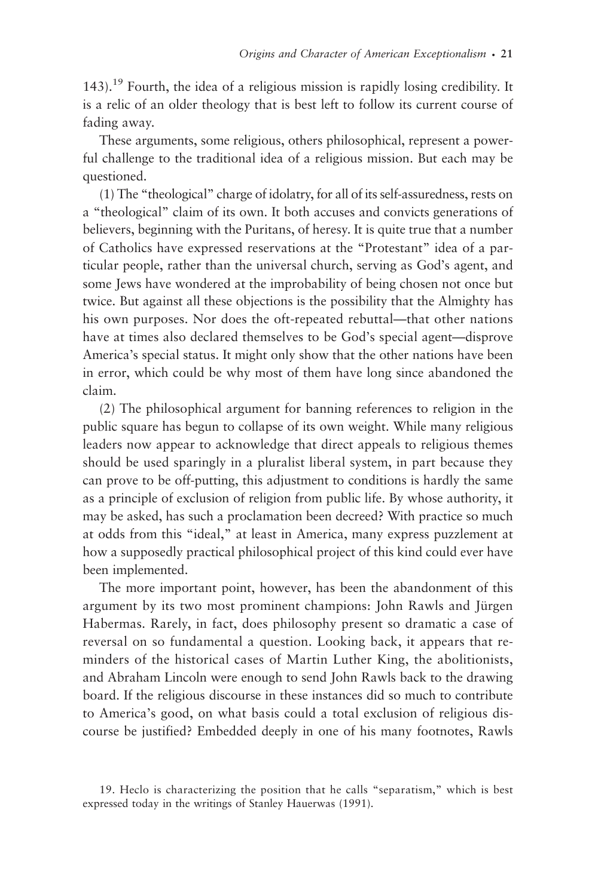143).<sup>19</sup> Fourth, the idea of a religious mission is rapidly losing credibility. It is a relic of an older theology that is best left to follow its current course of fading away.

These arguments, some religious, others philosophical, represent a powerful challenge to the traditional idea of a religious mission. But each may be questioned.

(1) The "theological" charge of idolatry, for all of its self-assuredness, rests on a "theological" claim of its own. It both accuses and convicts generations of believers, beginning with the Puritans, of heresy. It is quite true that a number of Catholics have expressed reservations at the "Protestant" idea of a particular people, rather than the universal church, serving as God's agent, and some Jews have wondered at the improbability of being chosen not once but twice. But against all these objections is the possibility that the Almighty has his own purposes. Nor does the oft-repeated rebuttal—that other nations have at times also declared themselves to be God's special agent—disprove America's special status. It might only show that the other nations have been in error, which could be why most of them have long since abandoned the claim.

(2) The philosophical argument for banning references to religion in the public square has begun to collapse of its own weight. While many religious leaders now appear to acknowledge that direct appeals to religious themes should be used sparingly in a pluralist liberal system, in part because they can prove to be off-putting, this adjustment to conditions is hardly the same as a principle of exclusion of religion from public life. By whose authority, it may be asked, has such a proclamation been decreed? With practice so much at odds from this "ideal," at least in America, many express puzzlement at how a supposedly practical philosophical project of this kind could ever have been implemented.

The more important point, however, has been the abandonment of this argument by its two most prominent champions: John Rawls and Jürgen Habermas. Rarely, in fact, does philosophy present so dramatic a case of reversal on so fundamental a question. Looking back, it appears that reminders of the historical cases of Martin Luther King, the abolitionists, and Abraham Lincoln were enough to send John Rawls back to the drawing board. If the religious discourse in these instances did so much to contribute to America's good, on what basis could a total exclusion of religious discourse be justified? Embedded deeply in one of his many footnotes, Rawls

<sup>19.</sup> Heclo is characterizing the position that he calls "separatism," which is best expressed today in the writings of Stanley Hauerwas (1991).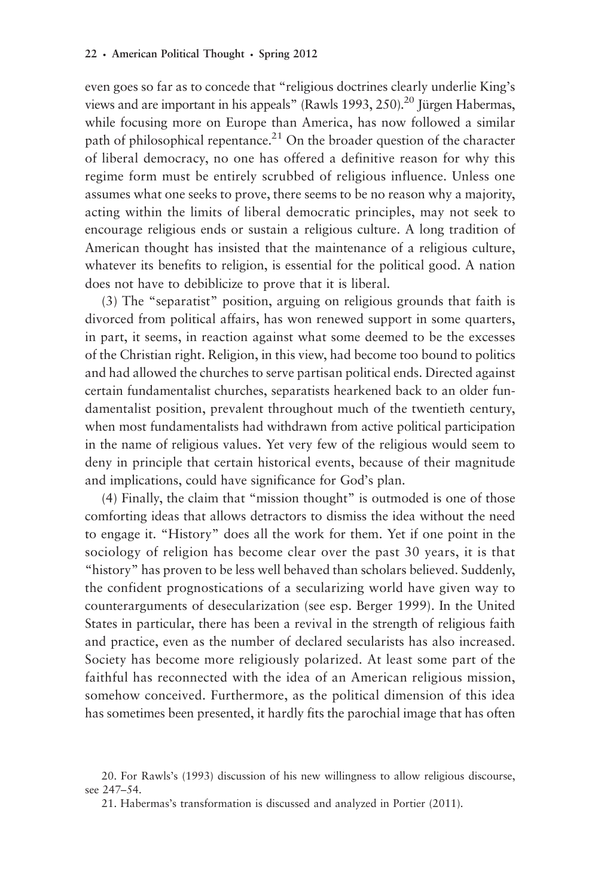even goes so far as to concede that "religious doctrines clearly underlie King's views and are important in his appeals" (Rawls 1993, 250).<sup>20</sup> Jürgen Habermas, while focusing more on Europe than America, has now followed a similar path of philosophical repentance.<sup>21</sup> On the broader question of the character of liberal democracy, no one has offered a definitive reason for why this regime form must be entirely scrubbed of religious influence. Unless one assumes what one seeks to prove, there seems to be no reason why a majority, acting within the limits of liberal democratic principles, may not seek to encourage religious ends or sustain a religious culture. A long tradition of American thought has insisted that the maintenance of a religious culture, whatever its benefits to religion, is essential for the political good. A nation does not have to debiblicize to prove that it is liberal.

(3) The "separatist" position, arguing on religious grounds that faith is divorced from political affairs, has won renewed support in some quarters, in part, it seems, in reaction against what some deemed to be the excesses of the Christian right. Religion, in this view, had become too bound to politics and had allowed the churches to serve partisan political ends. Directed against certain fundamentalist churches, separatists hearkened back to an older fundamentalist position, prevalent throughout much of the twentieth century, when most fundamentalists had withdrawn from active political participation in the name of religious values. Yet very few of the religious would seem to deny in principle that certain historical events, because of their magnitude and implications, could have significance for God's plan.

(4) Finally, the claim that "mission thought" is outmoded is one of those comforting ideas that allows detractors to dismiss the idea without the need to engage it. "History" does all the work for them. Yet if one point in the sociology of religion has become clear over the past 30 years, it is that "history" has proven to be less well behaved than scholars believed. Suddenly, the confident prognostications of a secularizing world have given way to counterarguments of desecularization (see esp. Berger 1999). In the United States in particular, there has been a revival in the strength of religious faith and practice, even as the number of declared secularists has also increased. Society has become more religiously polarized. At least some part of the faithful has reconnected with the idea of an American religious mission, somehow conceived. Furthermore, as the political dimension of this idea has sometimes been presented, it hardly fits the parochial image that has often

<sup>20.</sup> For Rawls's (1993) discussion of his new willingness to allow religious discourse, see 247–54.

<sup>21.</sup> Habermas's transformation is discussed and analyzed in Portier (2011).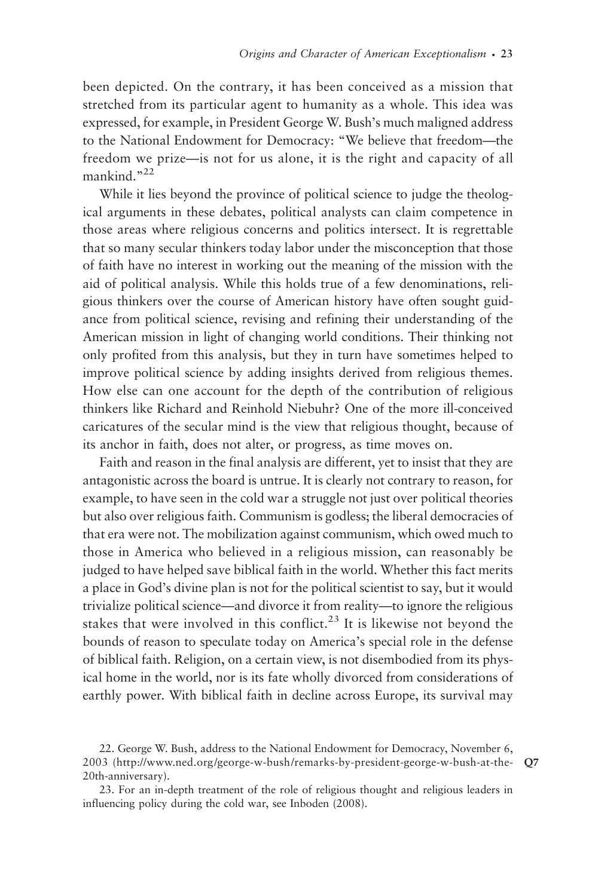been depicted. On the contrary, it has been conceived as a mission that stretched from its particular agent to humanity as a whole. This idea was expressed, for example, in President George W. Bush's much maligned address to the National Endowment for Democracy: "We believe that freedom—the freedom we prize—is not for us alone, it is the right and capacity of all mankind."<sup>22</sup>

While it lies beyond the province of political science to judge the theological arguments in these debates, political analysts can claim competence in those areas where religious concerns and politics intersect. It is regrettable that so many secular thinkers today labor under the misconception that those of faith have no interest in working out the meaning of the mission with the aid of political analysis. While this holds true of a few denominations, religious thinkers over the course of American history have often sought guidance from political science, revising and refining their understanding of the American mission in light of changing world conditions. Their thinking not only profited from this analysis, but they in turn have sometimes helped to improve political science by adding insights derived from religious themes. How else can one account for the depth of the contribution of religious thinkers like Richard and Reinhold Niebuhr? One of the more ill-conceived caricatures of the secular mind is the view that religious thought, because of its anchor in faith, does not alter, or progress, as time moves on.

Faith and reason in the final analysis are different, yet to insist that they are antagonistic across the board is untrue. It is clearly not contrary to reason, for example, to have seen in the cold war a struggle not just over political theories but also over religious faith. Communism is godless; the liberal democracies of that era were not. The mobilization against communism, which owed much to those in America who believed in a religious mission, can reasonably be judged to have helped save biblical faith in the world. Whether this fact merits a place in God's divine plan is not for the political scientist to say, but it would trivialize political science—and divorce it from reality—to ignore the religious stakes that were involved in this conflict.<sup>23</sup> It is likewise not beyond the bounds of reason to speculate today on America's special role in the defense of biblical faith. Religion, on a certain view, is not disembodied from its physical home in the world, nor is its fate wholly divorced from considerations of earthly power. With biblical faith in decline across Europe, its survival may

<sup>22.</sup> George W. Bush, address to the National Endowment for Democracy, November 6, 2003 (http://www.ned.org/george-w-bush/remarks-by-president-george-w-bush-at-the- Q7 20th-anniversary).

<sup>23.</sup> For an in-depth treatment of the role of religious thought and religious leaders in influencing policy during the cold war, see Inboden (2008).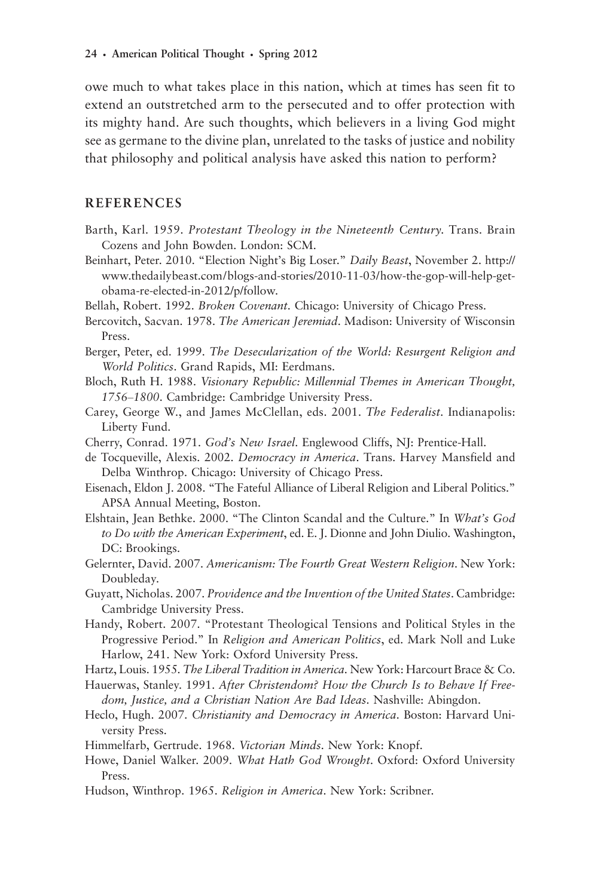owe much to what takes place in this nation, which at times has seen fit to extend an outstretched arm to the persecuted and to offer protection with its mighty hand. Are such thoughts, which believers in a living God might see as germane to the divine plan, unrelated to the tasks of justice and nobility that philosophy and political analysis have asked this nation to perform?

### REFERENCES

- Barth, Karl. 1959. Protestant Theology in the Nineteenth Century. Trans. Brain Cozens and John Bowden. London: SCM.
- Beinhart, Peter. 2010. "Election Night's Big Loser." Daily Beast, November 2. http:// www.thedailybeast.com/blogs-and-stories/2010-11-03/how-the-gop-will-help-getobama-re-elected-in-2012/p/follow.
- Bellah, Robert. 1992. Broken Covenant. Chicago: University of Chicago Press.
- Bercovitch, Sacvan. 1978. The American Jeremiad. Madison: University of Wisconsin Press.
- Berger, Peter, ed. 1999. The Desecularization of the World: Resurgent Religion and World Politics. Grand Rapids, MI: Eerdmans.
- Bloch, Ruth H. 1988. Visionary Republic: Millennial Themes in American Thought, 1756–1800. Cambridge: Cambridge University Press.
- Carey, George W., and James McClellan, eds. 2001. The Federalist. Indianapolis: Liberty Fund.
- Cherry, Conrad. 1971. God's New Israel. Englewood Cliffs, NJ: Prentice-Hall.
- de Tocqueville, Alexis. 2002. Democracy in America. Trans. Harvey Mansfield and Delba Winthrop. Chicago: University of Chicago Press.
- Eisenach, Eldon J. 2008. "The Fateful Alliance of Liberal Religion and Liberal Politics." APSA Annual Meeting, Boston.
- Elshtain, Jean Bethke. 2000. "The Clinton Scandal and the Culture." In What's God to Do with the American Experiment, ed. E. J. Dionne and John Diulio. Washington, DC: Brookings.
- Gelernter, David. 2007. Americanism: The Fourth Great Western Religion. New York: Doubleday.
- Guyatt, Nicholas. 2007. Providence and the Invention of the United States. Cambridge: Cambridge University Press.
- Handy, Robert. 2007. "Protestant Theological Tensions and Political Styles in the Progressive Period." In Religion and American Politics, ed. Mark Noll and Luke Harlow, 241. New York: Oxford University Press.
- Hartz, Louis. 1955. The Liberal Tradition in America. New York: Harcourt Brace & Co.
- Hauerwas, Stanley. 1991. After Christendom? How the Church Is to Behave If Freedom, Justice, and a Christian Nation Are Bad Ideas. Nashville: Abingdon.
- Heclo, Hugh. 2007. Christianity and Democracy in America. Boston: Harvard University Press.
- Himmelfarb, Gertrude. 1968. Victorian Minds. New York: Knopf.
- Howe, Daniel Walker. 2009. What Hath God Wrought. Oxford: Oxford University Press.
- Hudson, Winthrop. 1965. Religion in America. New York: Scribner.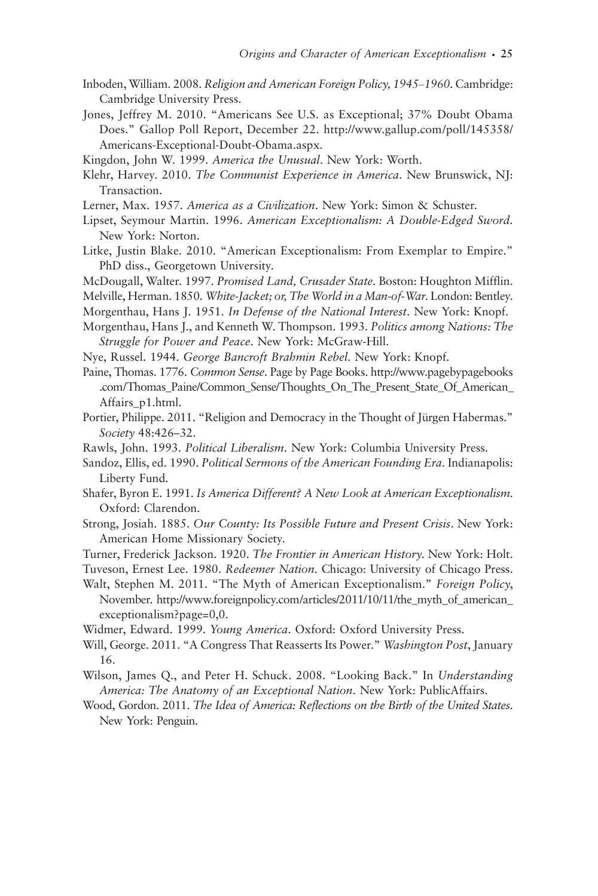- Inboden, William. 2008. Religion and American Foreign Policy, 1945–1960. Cambridge: Cambridge University Press.
- Jones, Jeffrey M. 2010. "Americans See U.S. as Exceptional; 37% Doubt Obama Does." Gallop Poll Report, December 22. http://www.gallup.com/poll/145358/ Americans-Exceptional-Doubt-Obama.aspx.
- Kingdon, John W. 1999. America the Unusual. New York: Worth.
- Klehr, Harvey. 2010. The Communist Experience in America. New Brunswick, NJ: Transaction.
- Lerner, Max. 1957. America as a Civilization. New York: Simon & Schuster.
- Lipset, Seymour Martin. 1996. American Exceptionalism: A Double-Edged Sword. New York: Norton.
- Litke, Justin Blake. 2010. "American Exceptionalism: From Exemplar to Empire." PhD diss., Georgetown University.
- McDougall, Walter. 1997. Promised Land, Crusader State. Boston: Houghton Mifflin.
- Melville, Herman. 1850. White-Jacket; or, The World in a Man-of-War. London: Bentley.
- Morgenthau, Hans J. 1951. In Defense of the National Interest. New York: Knopf.
- Morgenthau, Hans J., and Kenneth W. Thompson. 1993. Politics among Nations: The Struggle for Power and Peace. New York: McGraw-Hill.
- Nye, Russel. 1944. George Bancroft Brahmin Rebel. New York: Knopf.
- Paine, Thomas. 1776. Common Sense. Page by Page Books. http://www.pagebypagebooks .com/Thomas\_Paine/Common\_Sense/Thoughts\_On\_The\_Present\_State\_Of\_American\_ Affairs\_p1.html.
- Portier, Philippe. 2011. "Religion and Democracy in the Thought of Jürgen Habermas." Society 48:426–32.
- Rawls, John. 1993. Political Liberalism. New York: Columbia University Press.
- Sandoz, Ellis, ed. 1990. Political Sermons of the American Founding Era. Indianapolis: Liberty Fund.
- Shafer, Byron E. 1991. Is America Different? A New Look at American Exceptionalism. Oxford: Clarendon.
- Strong, Josiah. 1885. Our County: Its Possible Future and Present Crisis. New York: American Home Missionary Society.
- Turner, Frederick Jackson. 1920. The Frontier in American History. New York: Holt.
- Tuveson, Ernest Lee. 1980. Redeemer Nation. Chicago: University of Chicago Press.
- Walt, Stephen M. 2011. "The Myth of American Exceptionalism." Foreign Policy, November. http://www.foreignpolicy.com/articles/2011/10/11/the\_myth\_of\_american\_ exceptionalism?page=0,0.
- Widmer, Edward. 1999. Young America. Oxford: Oxford University Press.
- Will, George. 2011. "A Congress That Reasserts Its Power." Washington Post, January 16.
- Wilson, James Q., and Peter H. Schuck. 2008. "Looking Back." In Understanding America: The Anatomy of an Exceptional Nation. New York: PublicAffairs.
- Wood, Gordon. 2011. The Idea of America: Reflections on the Birth of the United States. New York: Penguin.